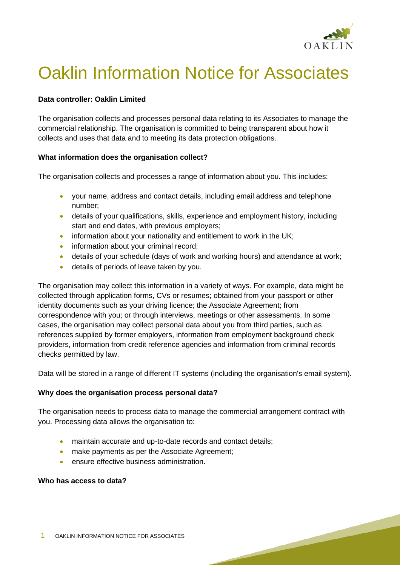

# Oaklin Information Notice for Associates

## **Data controller: Oaklin Limited**

The organisation collects and processes personal data relating to its Associates to manage the commercial relationship. The organisation is committed to being transparent about how it collects and uses that data and to meeting its data protection obligations.

## **What information does the organisation collect?**

The organisation collects and processes a range of information about you. This includes:

- your name, address and contact details, including email address and telephone number;
- details of your qualifications, skills, experience and employment history, including start and end dates, with previous employers;
- information about your nationality and entitlement to work in the UK;
- information about your criminal record;
- details of your schedule (days of work and working hours) and attendance at work;
- details of periods of leave taken by you.

The organisation may collect this information in a variety of ways. For example, data might be collected through application forms, CVs or resumes; obtained from your passport or other identity documents such as your driving licence; the Associate Agreement; from correspondence with you; or through interviews, meetings or other assessments. In some cases, the organisation may collect personal data about you from third parties, such as references supplied by former employers, information from employment background check providers, information from credit reference agencies and information from criminal records checks permitted by law.

Data will be stored in a range of different IT systems (including the organisation's email system).

## **Why does the organisation process personal data?**

The organisation needs to process data to manage the commercial arrangement contract with you. Processing data allows the organisation to:

- maintain accurate and up-to-date records and contact details;
- make payments as per the Associate Agreement;
- ensure effective business administration.

## **Who has access to data?**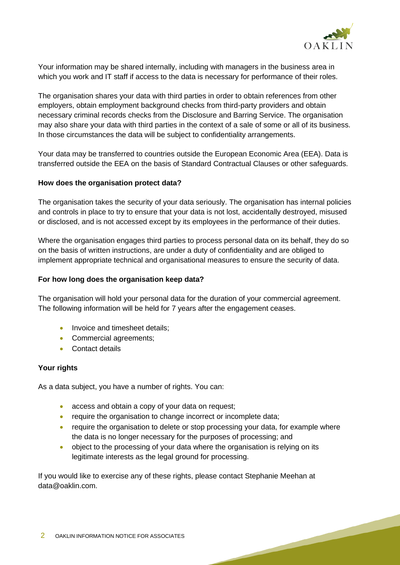

Your information may be shared internally, including with managers in the business area in which you work and IT staff if access to the data is necessary for performance of their roles.

The organisation shares your data with third parties in order to obtain references from other employers, obtain employment background checks from third-party providers and obtain necessary criminal records checks from the Disclosure and Barring Service. The organisation may also share your data with third parties in the context of a sale of some or all of its business. In those circumstances the data will be subject to confidentiality arrangements.

Your data may be transferred to countries outside the European Economic Area (EEA). Data is transferred outside the EEA on the basis of Standard Contractual Clauses or other safeguards.

#### **How does the organisation protect data?**

The organisation takes the security of your data seriously. The organisation has internal policies and controls in place to try to ensure that your data is not lost, accidentally destroyed, misused or disclosed, and is not accessed except by its employees in the performance of their duties.

Where the organisation engages third parties to process personal data on its behalf, they do so on the basis of written instructions, are under a duty of confidentiality and are obliged to implement appropriate technical and organisational measures to ensure the security of data.

#### **For how long does the organisation keep data?**

The organisation will hold your personal data for the duration of your commercial agreement. The following information will be held for 7 years after the engagement ceases.

- Invoice and timesheet details;
- Commercial agreements;
- Contact details

#### **Your rights**

As a data subject, you have a number of rights. You can:

- access and obtain a copy of your data on request;
- require the organisation to change incorrect or incomplete data;
- require the organisation to delete or stop processing your data, for example where the data is no longer necessary for the purposes of processing; and
- object to the processing of your data where the organisation is relying on its legitimate interests as the legal ground for processing.

If you would like to exercise any of these rights, please contact Stephanie Meehan at data@oaklin.com.